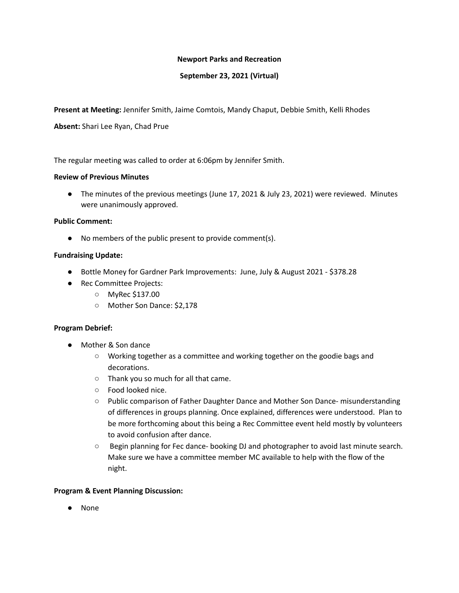### **Newport Parks and Recreation**

## **September 23, 2021 (Virtual)**

**Present at Meeting:** Jennifer Smith, Jaime Comtois, Mandy Chaput, Debbie Smith, Kelli Rhodes

**Absent:** Shari Lee Ryan, Chad Prue

The regular meeting was called to order at 6:06pm by Jennifer Smith.

### **Review of Previous Minutes**

● The minutes of the previous meetings (June 17, 2021 & July 23, 2021) were reviewed. Minutes were unanimously approved.

#### **Public Comment:**

● No members of the public present to provide comment(s).

#### **Fundraising Update:**

- Bottle Money for Gardner Park Improvements: June, July & August 2021 \$378.28
- Rec Committee Projects:
	- MyRec \$137.00
	- Mother Son Dance: \$2,178

#### **Program Debrief:**

- Mother & Son dance
	- Working together as a committee and working together on the goodie bags and decorations.
	- Thank you so much for all that came.
	- Food looked nice.
	- Public comparison of Father Daughter Dance and Mother Son Dance- misunderstanding of differences in groups planning. Once explained, differences were understood. Plan to be more forthcoming about this being a Rec Committee event held mostly by volunteers to avoid confusion after dance.
	- Begin planning for Fec dance- booking DJ and photographer to avoid last minute search. Make sure we have a committee member MC available to help with the flow of the night.

#### **Program & Event Planning Discussion:**

● None